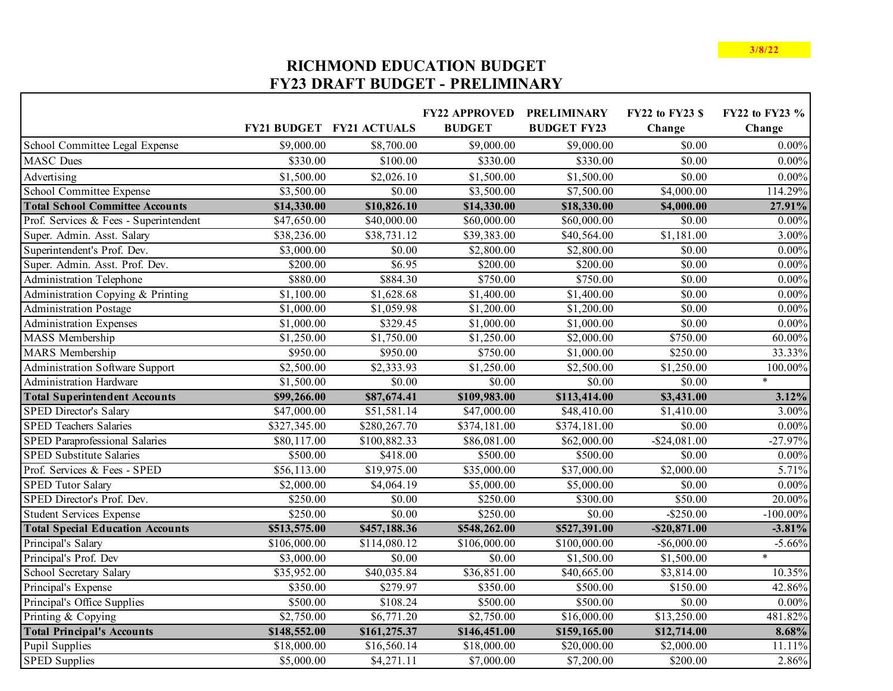## **RICHMOND EDUCATION BUDGET FY23 DRAFT BUDGET - PRELIMINARY**

Г

|                                         |              | <b>FY21 BUDGET FY21 ACTUALS</b> | <b>FY22 APPROVED</b><br><b>BUDGET</b> | <b>PRELIMINARY</b><br><b>BUDGET FY23</b> | <b>FY22 to FY23 \$</b><br>Change | FY22 to FY23 %<br>Change |
|-----------------------------------------|--------------|---------------------------------|---------------------------------------|------------------------------------------|----------------------------------|--------------------------|
| School Committee Legal Expense          | \$9,000.00   | \$8,700.00                      | \$9,000.00                            | \$9,000.00                               | \$0.00                           | $0.00\%$                 |
| <b>MASC</b> Dues                        | \$330.00     | \$100.00                        | \$330.00                              | \$330.00                                 | \$0.00                           | $0.00\%$                 |
|                                         |              |                                 |                                       |                                          |                                  |                          |
| Advertising                             | \$1,500.00   | \$2,026.10                      | \$1,500.00                            | \$1,500.00                               | \$0.00                           | $0.00\%$                 |
| School Committee Expense                | \$3,500.00   | \$0.00                          | \$3,500.00                            | \$7,500.00                               | \$4,000.00                       | 114.29%                  |
| <b>Total School Committee Accounts</b>  | \$14,330.00  | \$10,826.10                     | \$14,330.00                           | \$18,330.00                              | \$4,000.00                       | 27.91%                   |
| Prof. Services & Fees - Superintendent  | \$47,650.00  | \$40,000.00                     | \$60,000.00                           | \$60,000.00                              | \$0.00                           | $0.00\%$                 |
| Super. Admin. Asst. Salary              | \$38,236.00  | \$38,731.12                     | \$39,383.00                           | \$40,564.00                              | \$1,181.00                       | 3.00%                    |
| Superintendent's Prof. Dev.             | \$3,000.00   | \$0.00                          | \$2,800.00                            | \$2,800.00                               | \$0.00                           | $0.00\%$                 |
| Super. Admin. Asst. Prof. Dev.          | \$200.00     | \$6.95                          | \$200.00                              | \$200.00                                 | \$0.00                           | $0.00\%$                 |
| Administration Telephone                | \$880.00     | \$884.30                        | \$750.00                              | \$750.00                                 | \$0.00                           | $0.00\%$                 |
| Administration Copying & Printing       | \$1,100.00   | \$1,628.68                      | \$1,400.00                            | \$1,400.00                               | \$0.00                           | $0.00\%$                 |
| <b>Administration Postage</b>           | \$1,000.00   | \$1,059.98                      | \$1,200.00                            | \$1,200.00                               | \$0.00                           | $0.00\%$                 |
| <b>Administration Expenses</b>          | \$1,000.00   | \$329.45                        | \$1,000.00                            | \$1,000.00                               | \$0.00                           | $0.00\%$                 |
| MASS Membership                         | \$1,250.00   | \$1,750.00                      | \$1,250.00                            | \$2,000.00                               | \$750.00                         | 60.00%                   |
| MARS Membership                         | \$950.00     | \$950.00                        | \$750.00                              | \$1,000.00                               | \$250.00                         | 33.33%                   |
| Administration Software Support         | \$2,500.00   | \$2,333.93                      | \$1,250.00                            | \$2,500.00                               | \$1,250.00                       | 100.00%                  |
| <b>Administration Hardware</b>          | \$1,500.00   | \$0.00                          | \$0.00                                | \$0.00                                   | \$0.00                           | $\ast$                   |
| <b>Total Superintendent Accounts</b>    | \$99,266.00  | \$87,674.41                     | \$109,983.00                          | \$113,414.00                             | \$3,431.00                       | 3.12%                    |
| <b>SPED Director's Salary</b>           | \$47,000.00  | \$51,581.14                     | \$47,000.00                           | \$48,410.00                              | \$1,410.00                       | 3.00%                    |
| <b>SPED Teachers Salaries</b>           | \$327,345.00 | \$280,267.70                    | \$374,181.00                          | \$374,181.00                             | \$0.00                           | $0.00\%$                 |
| SPED Paraprofessional Salaries          | \$80,117.00  | \$100,882.33                    | \$86,081.00                           | \$62,000.00                              | $-$ \$24,081.00                  | $-27.97%$                |
| <b>SPED Substitute Salaries</b>         | \$500.00     | \$418.00                        | \$500.00                              | \$500.00                                 | \$0.00                           | $0.00\%$                 |
| Prof. Services & Fees - SPED            | \$56,113.00  | \$19,975.00                     | \$35,000.00                           | \$37,000.00                              | \$2,000.00                       | 5.71%                    |
| <b>SPED Tutor Salary</b>                | \$2,000.00   | \$4,064.19                      | \$5,000.00                            | \$5,000.00                               | \$0.00                           | $0.00\%$                 |
| SPED Director's Prof. Dev.              | \$250.00     | \$0.00                          | $\overline{$}250.00$                  | \$300.00                                 | \$50.00                          | 20.00%                   |
| <b>Student Services Expense</b>         | \$250.00     | \$0.00                          | \$250.00                              | \$0.00                                   | $-$ \$250.00                     | $-100.00\%$              |
| <b>Total Special Education Accounts</b> | \$513,575.00 | \$457,188.36                    | \$548,262.00                          | \$527,391.00                             | $-$ \$20,871.00                  | $-3.81%$                 |
| Principal's Salary                      | \$106,000.00 | \$114,080.12                    | \$106,000.00                          | \$100,000.00                             | $-$ \$6,000.00                   | $-5.66%$                 |
| Principal's Prof. Dev                   | \$3,000.00   | \$0.00                          | \$0.00                                | \$1,500.00                               | \$1,500.00                       | $\ast$                   |
| School Secretary Salary                 | \$35,952.00  | \$40,035.84                     | \$36,851.00                           | \$40,665.00                              | \$3,814.00                       | 10.35%                   |
| Principal's Expense                     | \$350.00     | \$279.97                        | \$350.00                              | \$500.00                                 | \$150.00                         | 42.86%                   |
| Principal's Office Supplies             | \$500.00     | \$108.24                        | \$500.00                              | \$500.00                                 | \$0.00                           | $0.00\%$                 |
| Printing & Copying                      | \$2,750.00   | \$6,771.20                      | \$2,750.00                            | \$16,000.00                              | \$13,250.00                      | 481.82%                  |
| <b>Total Principal's Accounts</b>       | \$148,552.00 | \$161,275.37                    | \$146,451.00                          | \$159,165.00                             | \$12,714.00                      | 8.68%                    |
| Pupil Supplies                          | \$18,000.00  | \$16,560.14                     | \$18,000.00                           | \$20,000.00                              | \$2,000.00                       | 11.11%                   |
| <b>SPED Supplies</b>                    | \$5,000.00   | \$4,271.11                      | \$7,000.00                            | \$7,200.00                               | \$200.00                         | 2.86%                    |

٦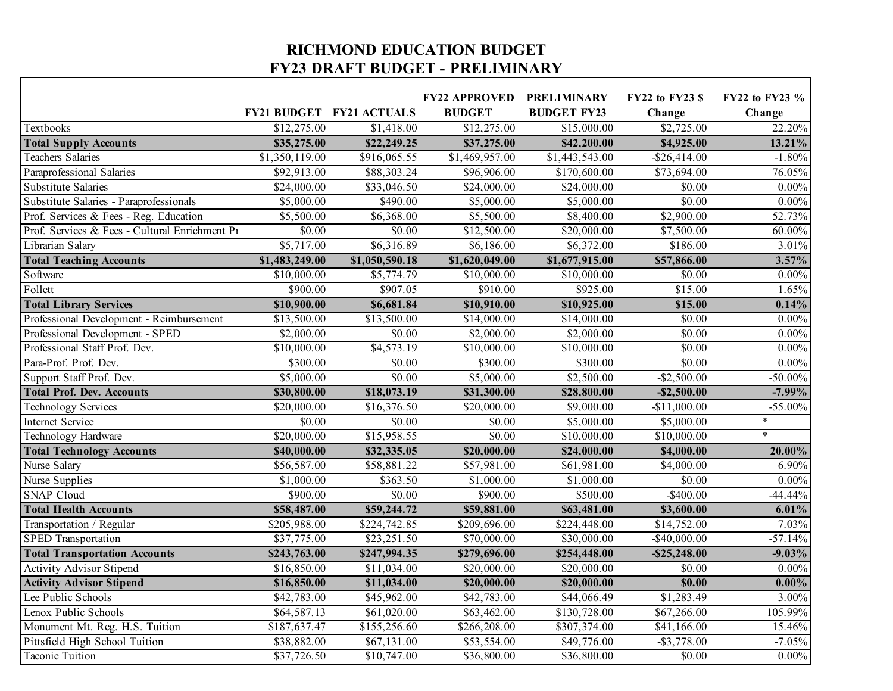## **RICHMOND EDUCATION BUDGET FY23 DRAFT BUDGET - PRELIMINARY**

 $\Gamma$ 

|                                                |                            |                                 | <b>FY22 APPROVED</b> | <b>PRELIMINARY</b>      | <b>FY22 to FY23 \$</b> | FY22 to FY23 % |
|------------------------------------------------|----------------------------|---------------------------------|----------------------|-------------------------|------------------------|----------------|
|                                                |                            | <b>FY21 BUDGET FY21 ACTUALS</b> | <b>BUDGET</b>        | <b>BUDGET FY23</b>      | Change                 | Change         |
| Textbooks                                      | \$12,275.00                | \$1,418.00                      | \$12,275.00          | $\overline{$15,000.00}$ | \$2,725.00             | 22.20%         |
| <b>Total Supply Accounts</b>                   | \$35,275.00                | \$22,249.25                     | \$37,275.00          | \$42,200.00             | \$4,925.00             | 13.21%         |
| <b>Teachers Salaries</b>                       | \$1,350,119.00             | \$916,065.55                    | \$1,469,957.00       | \$1,443,543.00          | $-$ \$26,414.00        | $-1.80%$       |
| Paraprofessional Salaries                      | \$92,913.00                | \$88,303.24                     | \$96,906.00          | \$170,600.00            | \$73,694.00            | 76.05%         |
| <b>Substitute Salaries</b>                     | \$24,000.00                | \$33,046.50                     | \$24,000.00          | \$24,000.00             | \$0.00                 | $0.00\%$       |
| Substitute Salaries - Paraprofessionals        | \$5,000.00                 | \$490.00                        | \$5,000.00           | \$5,000.00              | \$0.00                 | $0.00\%$       |
| Prof. Services & Fees - Reg. Education         | \$5,500.00                 | \$6,368.00                      | $\sqrt{5,500.00}$    | \$8,400.00              | \$2,900.00             | 52.73%         |
| Prof. Services & Fees - Cultural Enrichment P1 | \$0.00                     | \$0.00                          | \$12,500.00          | \$20,000.00             | \$7,500.00             | 60.00%         |
| Librarian Salary                               | \$5,717.00                 | \$6,316.89                      | \$6,186.00           | \$6,372.00              | \$186.00               | 3.01%          |
| <b>Total Teaching Accounts</b>                 | $\overline{81,}483,249.00$ | \$1,050,590.18                  | \$1,620,049.00       | \$1,677,915.00          | \$57,866.00            | 3.57%          |
| Software                                       | \$10,000.00                | \$5,774.79                      | \$10,000.00          | \$10,000.00             | \$0.00                 | $0.00\%$       |
| Follett                                        | \$900.00                   | \$907.05                        | \$910.00             | \$925.00                | \$15.00                | 1.65%          |
| <b>Total Library Services</b>                  | \$10,900.00                | \$6,681.84                      | \$10,910.00          | \$10,925.00             | \$15.00                | 0.14%          |
| Professional Development - Reimbursement       | \$13,500.00                | \$13,500.00                     | \$14,000.00          | \$14,000.00             | \$0.00                 | $0.00\%$       |
| Professional Development - SPED                | \$2,000.00                 | \$0.00                          | \$2,000.00           | \$2,000.00              | \$0.00                 | $0.00\%$       |
| Professional Staff Prof. Dev.                  | \$10,000.00                | \$4,573.19                      | \$10,000.00          | \$10,000.00             | \$0.00                 | $0.00\%$       |
| Para-Prof. Prof. Dev.                          | \$300.00                   | \$0.00                          | \$300.00             | \$300.00                | \$0.00                 | $0.00\%$       |
| Support Staff Prof. Dev.                       | \$5,000.00                 | \$0.00                          | \$5,000.00           | \$2,500.00              | $-$ \$2,500.00         | $-50.00\%$     |
| <b>Total Prof. Dev. Accounts</b>               | \$30,800.00                | \$18,073.19                     | \$31,300.00          | \$28,800.00             | $-$ \$2,500.00         | $-7.99\%$      |
| <b>Technology Services</b>                     | \$20,000.00                | \$16,376.50                     | \$20,000.00          | \$9,000.00              | $-$11,000.00$          | $-55.00%$      |
| Internet Service                               | \$0.00                     | \$0.00                          | \$0.00               | \$5,000.00              | \$5,000.00             | $\ast$         |
| Technology Hardware                            | \$20,000.00                | \$15,958.55                     | \$0.00               | \$10,000.00             | \$10,000.00            | $\ast$         |
| <b>Total Technology Accounts</b>               | \$40,000.00                | \$32,335.05                     | \$20,000.00          | \$24,000.00             | \$4,000.00             | 20.00%         |
| Nurse Salary                                   | \$56,587.00                | \$58,881.22                     | \$57,981.00          | \$61,981.00             | \$4,000.00             | 6.90%          |
| Nurse Supplies                                 | \$1,000.00                 | \$363.50                        | \$1,000.00           | \$1,000.00              | \$0.00                 | $0.00\%$       |
| <b>SNAP Cloud</b>                              | \$900.00                   | \$0.00                          | \$900.00             | \$500.00                | $-$ \$400.00           | $-44.44%$      |
| <b>Total Health Accounts</b>                   | \$58,487.00                | \$59,244.72                     | \$59,881.00          | \$63,481.00             | \$3,600.00             | 6.01%          |
| Transportation / Regular                       | \$205,988.00               | \$224,742.85                    | \$209,696.00         | \$224,448.00            | \$14,752.00            | 7.03%          |
| <b>SPED Transportation</b>                     | \$37,775.00                | \$23,251.50                     | \$70,000.00          | \$30,000.00             | $-$ \$40,000.00        | $-57.14%$      |
| <b>Total Transportation Accounts</b>           | \$243,763.00               | \$247,994.35                    | \$279,696.00         | \$254,448.00            | $-$ \$25,248.00        | $-9.03%$       |
| <b>Activity Advisor Stipend</b>                | \$16,850.00                | \$11,034.00                     | \$20,000.00          | \$20,000.00             | \$0.00                 | $0.00\%$       |
| <b>Activity Advisor Stipend</b>                | \$16,850.00                | \$11,034.00                     | \$20,000.00          | \$20,000.00             | \$0.00                 | $0.00\%$       |
| Lee Public Schools                             | \$42,783.00                | \$45,962.00                     | \$42,783.00          | \$44,066.49             | \$1,283.49             | $3.00\%$       |
| Lenox Public Schools                           | \$64,587.13                | \$61,020.00                     | \$63,462.00          | \$130,728.00            | \$67,266.00            | 105.99%        |
| Monument Mt. Reg. H.S. Tuition                 | \$187,637.47               | \$155,256.60                    | \$266,208.00         | \$307,374.00            | \$41,166.00            | 15.46%         |
| Pittsfield High School Tuition                 | \$38,882.00                | \$67,131.00                     | \$53,554.00          | \$49,776.00             | $-$ \$3,778.00         | $-7.05%$       |
| <b>Taconic Tuition</b>                         | \$37,726.50                | \$10,747.00                     | \$36,800.00          | \$36,800.00             | \$0.00                 | $0.00\%$       |